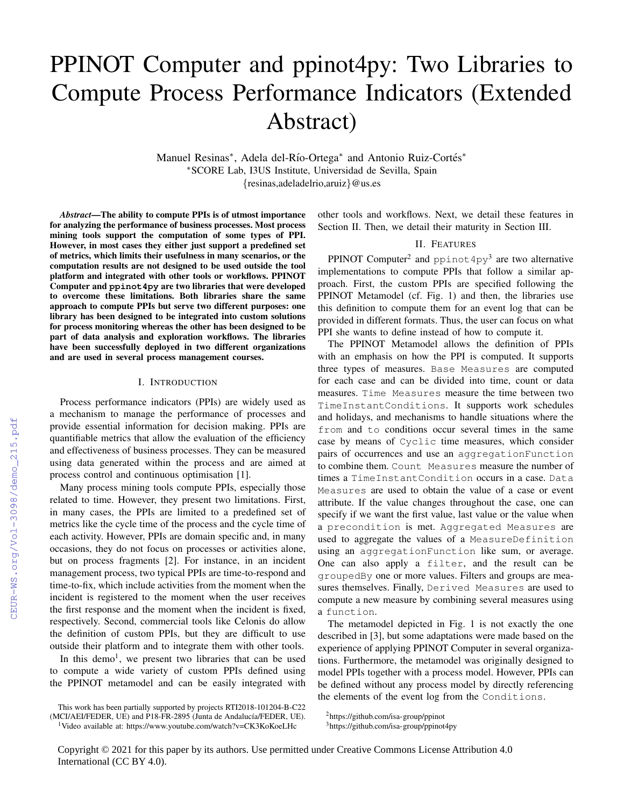# PPINOT Computer and ppinot4py: Two Libraries to Compute Process Performance Indicators (Extended Abstract)

Manuel Resinas<sup>\*</sup>, Adela del-Río-Ortega<sup>\*</sup> and Antonio Ruiz-Cortés<sup>\*</sup> <sup>∗</sup>SCORE Lab, I3US Institute, Universidad de Sevilla, Spain {resinas,adeladelrio,aruiz}@us.es

*Abstract*—The ability to compute PPIs is of utmost importance for analyzing the performance of business processes. Most process mining tools support the computation of some types of PPI. However, in most cases they either just support a predefined set of metrics, which limits their usefulness in many scenarios, or the computation results are not designed to be used outside the tool platform and integrated with other tools or workflows. PPINOT Computer and **ppinot4py** are two libraries that were developed to overcome these limitations. Both libraries share the same approach to compute PPIs but serve two different purposes: one library has been designed to be integrated into custom solutions for process monitoring whereas the other has been designed to be part of data analysis and exploration workflows. The libraries have been successfully deployed in two different organizations and are used in several process management courses.

## I. INTRODUCTION

Process performance indicators (PPIs) are widely used as a mechanism to manage the performance of processes and provide essential information for decision making. PPIs are quantifiable metrics that allow the evaluation of the efficiency and effectiveness of business processes. They can be measured using data generated within the process and are aimed at process control and continuous optimisation [1].

Many process mining tools compute PPIs, especially those related to time. However, they present two limitations. First, in many cases, the PPIs are limited to a predefined set of metrics like the cycle time of the process and the cycle time of each activity. However, PPIs are domain specific and, in many occasions, they do not focus on processes or activities alone, but on process fragments [2]. For instance, in an incident management process, two typical PPIs are time-to-respond and time-to-fix, which include activities from the moment when the incident is registered to the moment when the user receives the first response and the moment when the incident is fixed, respectively. Second, commercial tools like Celonis do allow the definition of custom PPIs, but they are difficult to use outside their platform and to integrate them with other tools.

In this demo<sup>1</sup>, we present two libraries that can be used to compute a wide variety of custom PPIs defined using the PPINOT metamodel and can be easily integrated with other tools and workflows. Next, we detail these features in Section II. Then, we detail their maturity in Section III.

# II. FEATURES

PPINOT Computer<sup>2</sup> and ppinot  $4py^3$  are two alternative implementations to compute PPIs that follow a similar approach. First, the custom PPIs are specified following the PPINOT Metamodel (cf. Fig. 1) and then, the libraries use this definition to compute them for an event log that can be provided in different formats. Thus, the user can focus on what PPI she wants to define instead of how to compute it.

The PPINOT Metamodel allows the definition of PPIs with an emphasis on how the PPI is computed. It supports three types of measures. Base Measures are computed for each case and can be divided into time, count or data measures. Time Measures measure the time between two TimeInstantConditions. It supports work schedules and holidays, and mechanisms to handle situations where the from and to conditions occur several times in the same case by means of Cyclic time measures, which consider pairs of occurrences and use an aggregationFunction to combine them. Count Measures measure the number of times a TimeInstantCondition occurs in a case. Data Measures are used to obtain the value of a case or event attribute. If the value changes throughout the case, one can specify if we want the first value, last value or the value when a precondition is met. Aggregated Measures are used to aggregate the values of a MeasureDefinition using an aggregationFunction like sum, or average. One can also apply a filter, and the result can be groupedBy one or more values. Filters and groups are measures themselves. Finally, Derived Measures are used to compute a new measure by combining several measures using a function.

The metamodel depicted in Fig. 1 is not exactly the one described in [3], but some adaptations were made based on the experience of applying PPINOT Computer in several organizations. Furthermore, the metamodel was originally designed to model PPIs together with a process model. However, PPIs can be defined without any process model by directly referencing the elements of the event log from the Conditions.

This work has been partially supported by projects RTI2018-101204-B-C22

<sup>(</sup>MCI/AEI/FEDER, UE) and P18-FR-2895 (Junta de Andalucía/FEDER, UE).

<sup>1</sup>Video available at: https://www.youtube.com/watch?v=CK3KoKoeLHc

<sup>2</sup>https://github.com/isa-group/ppinot

<sup>3</sup>https://github.com/isa-group/ppinot4py